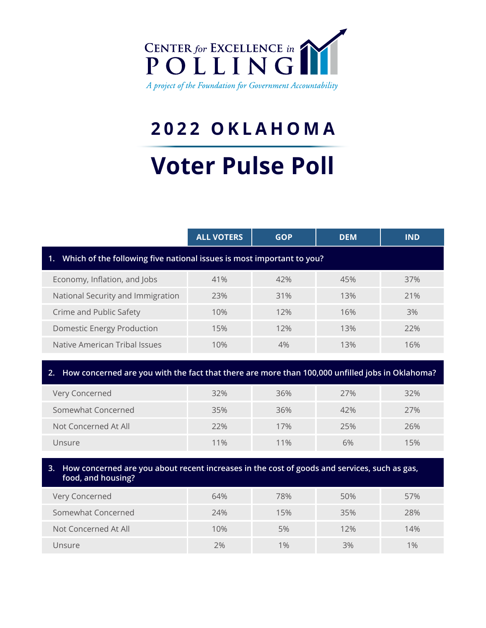

# **2022 OKLAHOMA**

# **Voter Pulse Poll**

|                                                                          | <b>ALL VOTERS</b> | <b>GOP</b> | <b>DEM</b> | <b>IND</b> |  |  |  |  |
|--------------------------------------------------------------------------|-------------------|------------|------------|------------|--|--|--|--|
| 1. Which of the following five national issues is most important to you? |                   |            |            |            |  |  |  |  |
| Economy, Inflation, and Jobs                                             | 41%               | 42%        | 45%        | 37%        |  |  |  |  |
| National Security and Immigration                                        | 23%               | 31%        | 13%        | 21%        |  |  |  |  |
| Crime and Public Safety                                                  | 10%               | 12%        | 16%        | 3%         |  |  |  |  |
| <b>Domestic Energy Production</b>                                        | 15%               | 12%        | 13%        | 22%        |  |  |  |  |
| Native American Tribal Issues                                            | 10%               | 4%         | 13%        | 16%        |  |  |  |  |

## **2. How concerned are you with the fact that there are more than 100,000 unfilled jobs in Oklahoma?**

| Very Concerned       | 32% | 36%    | 27% | 32% |
|----------------------|-----|--------|-----|-----|
| Somewhat Concerned   | 35% | 36%    | 42% | 27% |
| Not Concerned At All | 22% | 17%    | 25% | 26% |
| Unsure               | 11% | $11\%$ | 6%  | 15% |

### **3. How concerned are you about recent increases in the cost of goods and services, such as gas, food, and housing?**

| Very Concerned       | 64% | 78%   | 50% | 57%   |
|----------------------|-----|-------|-----|-------|
| Somewhat Concerned   | 24% | 15%   | 35% | 28%   |
| Not Concerned At All | 10% | 5%    | 12% | 14%   |
| Unsure               | 2%  | $1\%$ | 3%  | $1\%$ |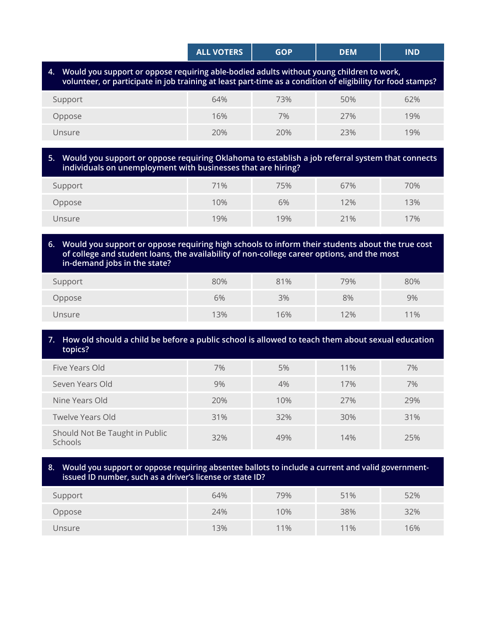|                                                                                                                                                                                                            | <b>ALL VOTERS</b> | <b>GOP</b> | <b>DEM</b> | <b>IND</b> |  |  |  |
|------------------------------------------------------------------------------------------------------------------------------------------------------------------------------------------------------------|-------------------|------------|------------|------------|--|--|--|
| 4. Would you support or oppose requiring able-bodied adults without young children to work,<br>volunteer, or participate in job training at least part-time as a condition of eligibility for food stamps? |                   |            |            |            |  |  |  |

| Support | 64% | 73% | 50% | 62% |
|---------|-----|-----|-----|-----|
| Oppose  | 16% | 7%  | 27% | 19% |
| Unsure  | 20% | 20% | 23% | 19% |

#### **5. Would you support or oppose requiring Oklahoma to establish a job referral system that connects individuals on unemployment with businesses that are hiring?**

| Support | 71% | 75% | 67% | 70% |
|---------|-----|-----|-----|-----|
| Oppose  | 10% | 6%  | 12% | 13% |
| Unsure  | 19% | 19% | 21% | 17% |

#### **6. Would you support or oppose requiring high schools to inform their students about the true cost of college and student loans, the availability of non-college career options, and the most in-demand jobs in the state?**

| Support | 80% | 81% | 79% | 80% |
|---------|-----|-----|-----|-----|
| Oppose  | 6%  | 3%  | 8%  | 9%  |
| Unsure  | 13% | 16% | 12% | 11% |

#### **7. How old should a child be before a public school is allowed to teach them about sexual education topics?**

| Five Years Old                            | 7%  | 5%  | 11% | 7%  |
|-------------------------------------------|-----|-----|-----|-----|
| Seven Years Old                           | 9%  | 4%  | 17% | 7%  |
| Nine Years Old                            | 20% | 10% | 27% | 29% |
| <b>Twelve Years Old</b>                   | 31% | 32% | 30% | 31% |
| Should Not Be Taught in Public<br>Schools | 32% | 49% | 14% | 25% |

#### **8. Would you support or oppose requiring absentee ballots to include a current and valid governmentissued ID number, such as a driver's license or state ID?**

| Support | 64% | 79% | 51% | 52% |
|---------|-----|-----|-----|-----|
| Oppose  | 24% | 10% | 38% | 32% |
| Unsure  | 13% | 11% | 11% | 16% |